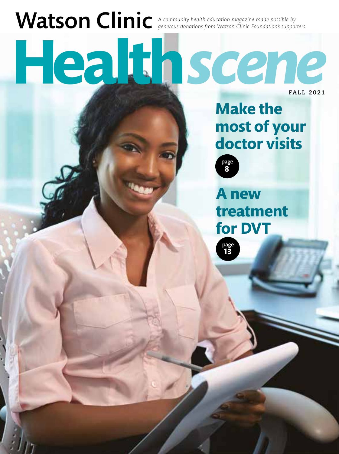# Watson Clinic A community health education magazine made possible by<br>anatomic *Foundation's supporters.* **Health***scene*

**FALL 2021**

# **Make the most of your doctor visits**



**13** page

**A new treatment for DVT**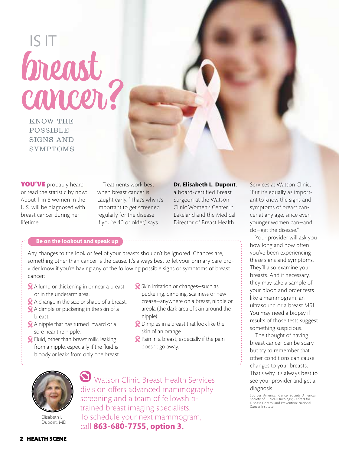breast IS IT

KNOW THE **POSSIBLE** SIGNS AND SYMPTOMS

YOU'VE probably heard or read the statistic by now: About 1 in 8 women in the U.S. will be diagnosed with breast cancer during her lifetime.

Treatments work best when breast cancer is caught early. "That's why it's important to get screened regularly for the disease if you're 40 or older," says

**Dr. Elisabeth L. Dupont**,

a board-certified Breast Surgeon at the Watson Clinic Women's Center in Lakeland and the Medical Director of Breast Health

#### **Be on the lookout and speak up**

Any changes to the look or feel of your breasts shouldn't be ignored. Chances are, something other than cancer is the cause. It's always best to let your primary care provider know if you're having any of the following possible signs or symptoms of breast cancer:

- A lump or thickening in or near a breast or in the underarm area.
- A change in the size or shape of a breast. A dimple or puckering in the skin of a
- breast.
- **X** A nipple that has turned inward or a sore near the nipple.
- Fluid, other than breast milk, leaking from a nipple, especially if the fluid is bloody or leaks from only one breast.
- Skin irritation or changes-such as puckering, dimpling, scaliness or new crease—anywhere on a breast, nipple or areola (the dark area of skin around the nipple).
- **Q** Dimples in a breast that look like the skin of an orange.
- Pain in a breast, especially if the pain doesn't go away.



Elisabeth L. Dupont, MD

Watson Clinic Breast Health Services division offers advanced mammography screening and a team of fellowshiptrained breast imaging specialists. To schedule your next mammogram, call **863-680-7755, option 3.**

Services at Watson Clinic. "But it's equally as important to know the signs and symptoms of breast cancer at any age, since even younger women can—and do—get the disease."

Your provider will ask you how long and how often you've been experiencing these signs and symptoms. They'll also examine your breasts. And if necessary, they may take a sample of your blood and order tests like a mammogram, an ultrasound or a breast MRI. You may need a biopsy if results of those tests suggest something suspicious.

The thought of having breast cancer can be scary, but try to remember that other conditions can cause changes to your breasts. That's why it's always best to see your provider and get a diagnosis.

Sources: American Cancer Society; American Society of Clinical Oncology; Centers for Disease Control and Prevention; National Cancer Institute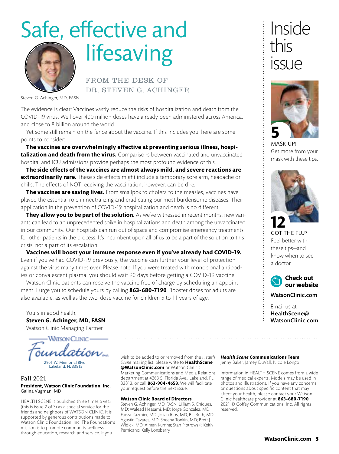# Safe, effective and lifesaving



FROM THE DESK OF DR. STEVEN G. ACHINGER

Steven G. Achinger, MD, FASN

The evidence is clear: Vaccines vastly reduce the risks of hospitalization and death from the COVID-19 virus. Well over 400 million doses have already been administered across America, and close to 8 billion around the world.

Yet some still remain on the fence about the vaccine. If this includes you, here are some points to consider:

**The vaccines are overwhelmingly effective at preventing serious illness, hospitalization and death from the virus.** Comparisons between vaccinated and unvaccinated hospital and ICU admissions provide perhaps the most profound evidence of this.

**The side effects of the vaccines are almost always mild, and severe reactions are extraordinarily rare.** These side effects might include a temporary sore arm, headache or chills. The effects of NOT receiving the vaccination, however, can be dire.

**The vaccines are saving lives.** From smallpox to cholera to the measles, vaccines have played the essential role in neutralizing and eradicating our most burdensome diseases. Their application in the prevention of COVID-19 hospitalization and death is no different.

**They allow you to be part of the solution.** As we've witnessed in recent months, new variants can lead to an unprecedented spike in hospitalizations and death among the unvaccinated in our community. Our hospitals can run out of space and compromise emergency treatments for other patients in the process. It's incumbent upon all of us to be a part of the solution to this crisis, not a part of its escalation.

**Vaccines will boost your immune response even if you've already had COVID-19.**  Even if you've had COVID-19 previously, the vaccine can further your level of protection against the virus many times over. Please note: If you were treated with monoclonal antibodies or convalescent plasma, you should wait 90 days before getting a COVID-19 vaccine.

Watson Clinic patients can receive the vaccine free of charge by scheduling an appointment. I urge you to schedule yours by calling **863-680-7190**. Booster doses for adults are also available, as well as the two-dose vaccine for children 5 to 11 years of age.

Yours in good health, **Steven G. Achinger, MD, FASN**

Watson Clinic Managing Partner

WATSON CLINIC 2901 W. Memorial Blvd., Lakeland, FL 33815

#### Fall 2021 **President, Watson Clinic Foundation, Inc.** Galina Vugman, MD

HEALTH SCENE is published three times a year (this is issue 2 of 3) as a special service for the friends and neighbors of WATSON CLINIC. It is supported by generous contributions made to Watson Clinic Foundation, Inc. The Foundation's mission is to promote community wellness through education, research and service. If you

wish to be added to or removed from the *Health Scene* mailing list, please write to **HealthScene @WatsonClinic.com** or Watson Clinic's Marketing Communications and Media Relations department at 4263 S. Florida Ave., Lakeland, FL 33813, or call **863-904-4653**. We will facilitate your request before the next issue.

#### **Watson Clinic Board of Directors**

Steven G. Achinger, MD, FASN; Lilliam S. Chiques, MD; Walead Hessami, MD; Jorge Gonzalez, MD; Faeza Kazmier, MD; Jolian Rios, MD; Bill Roth, MD; Agustin Tavares, MD; Sheena Tonkin, MD; Brett J. Widick, MD; Aiman Kumha; Stan Piotrowski; Keith Pernicano; Kelly Lonsberry

*Health Scene* **Communications Team** Jenny Baker, Jamey DuVall, Nicole Longo

Information in HEALTH SCENE comes from a wide range of medical experts. Models may be used in photos and illustrations. If you have any concerns or questions about specific content that may affect your health, please contact your Watson Clinic healthcare provider at **863-680-7190**. 2021 © Coffey Communications, Inc. All rights reserved.

## Inside this issue



MASK UP! Get more from your mask with these tips.



GOT THE FLU? Feel better with these tips—and know when to see a doctor.



WatsonClinic.com

Email us at HealthScene@ WatsonClinic.com.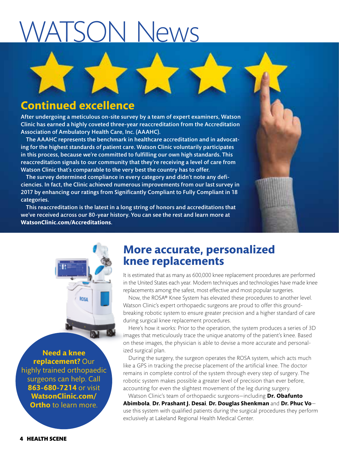# WATSON News

### **Continued excellence**

After undergoing a meticulous on-site survey by a team of expert examiners, Watson Clinic has earned a highly coveted three-year reaccreditation from the Accreditation Association of Ambulatory Health Care, Inc. (AAAHC).

The AAAHC represents the benchmark in healthcare accreditation and in advocating for the highest standards of patient care. Watson Clinic voluntarily participates in this process, because we're committed to fulfilling our own high standards. This reaccreditation signals to our community that they're receiving a level of care from Watson Clinic that's comparable to the very best the country has to offer.

The survey determined compliance in every category and didn't note any deficiencies. In fact, the Clinic achieved numerous improvements from our last survey in 2017 by enhancing our ratings from Significantly Compliant to Fully Compliant in 18 categories.

This reaccreditation is the latest in a long string of honors and accreditations that we've received across our 80-year history. You can see the rest and learn more at **WatsonClinic.com/Accreditations**.

### **More accurate, personalized knee replacements**

It is estimated that as many as 600,000 knee replacement procedures are performed in the United States each year. Modern techniques and technologies have made knee replacements among the safest, most effective and most popular surgeries.

Now, the ROSA® Knee System has elevated these procedures to another level. Watson Clinic's expert orthopaedic surgeons are proud to offer this groundbreaking robotic system to ensure greater precision and a higher standard of care during surgical knee replacement procedures.

Here's how it works: Prior to the operation, the system produces a series of 3D images that meticulously trace the unique anatomy of the patient's knee. Based on these images, the physician is able to devise a more accurate and personalized surgical plan.

During the surgery, the surgeon operates the ROSA system, which acts much like a GPS in tracking the precise placement of the artificial knee. The doctor remains in complete control of the system through every step of surgery. The robotic system makes possible a greater level of precision than ever before, accounting for even the slightest movement of the leg during surgery.

Watson Clinic's team of orthopaedic surgeons—including **Dr. Obafunto Abimbola**, **Dr. Prashant J. Desai**, **Dr. Douglas Shenkman** and **Dr. Phuc Vo** use this system with qualified patients during the surgical procedures they perform exclusively at Lakeland Regional Health Medical Center.

**Need a knee replacement?** Our highly trained orthopaedic surgeons can help. Call **863-680-7214** or visit **WatsonClinic.com/ Ortho** to learn more.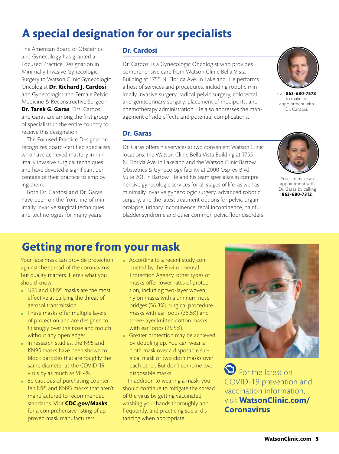### **A special designation for our specialists**

The American Board of Obstetrics and Gynecology has granted a Focused Practice Designation in Minimally Invasive Gynecologic Surgery to Watson Clinic Gynecologic Oncologist **Dr. Richard J. Cardosi**  and Gynecologist and Female Pelvic Medicine & Reconstructive Surgeon **Dr. Tarek G. Garas**. Drs. Cardosi and Garas are among the first group of specialists in the entire country to receive this designation.

The Focused Practice Designation recognizes board-certified specialists who have achieved mastery in minimally invasive surgical techniques and have devoted a significant percentage of their practice to employing them.

Both Dr. Cardosi and Dr. Garas have been on the front line of minimally invasive surgical techniques and technologies for many years.

#### **Dr. Cardosi**

Dr. Cardosi is a Gynecologic Oncologist who provides comprehensive care from Watson Clinic Bella Vista Building at 1755 N. Florida Ave. in Lakeland. He performs a host of services and procedures, including robotic minimally invasive surgery, radical pelvic surgery, colorectal and genitourinary surgery, placement of mediports, and chemotherapy administration. He also addresses the management of side effects and potential complications.



Call **863-680-7578** to make an appointment with Dr. Cardosi.

#### **Dr. Garas**

Dr. Garas offers his services at two convenient Watson Clinic locations: the Watson Clinic Bella Vista Building at 1755 N. Florida Ave. in Lakeland and the Watson Clinic Bartow Obstetrics & Gynecology facility at 2000 Osprey Blvd., Suite 201, in Bartow. He and his team specialize in comprehensive gynecologic services for all stages of life, as well as minimally invasive gynecologic surgery, advanced robotic surgery, and the latest treatment options for pelvic organ prolapse, urinary incontinence, fecal incontinence, painful bladder syndrome and other common pelvic floor disorders.



You can make an appointment with Dr. Garas by calling **863-680-7312**.

### **Getting more from your mask**

Your face mask can provide protection against the spread of the coronavirus. But quality matters. Here's what you should know:

- N95 and KN95 masks are the most effective at curbing the threat of aerosol transmission.
- These masks offer multiple layers of protection and are designed to fit snugly over the nose and mouth without any open edges.
- In research studies, the N95 and KN95 masks have been shown to block particles that are roughly the same diameter as the COVID-19 virus by as much as 98.4%.
- Be cautious of purchasing counterfeit N95 and KN95 masks that aren't manufactured to recommended standards. Visit **CDC.gov/Masks** for a comprehensive listing of approved mask manufacturers.
- According to a recent study conducted by the Environmental Protection Agency, other types of masks offer lower rates of protection, including two-layer woven nylon masks with aluminum nose bridges (56.3%), surgical procedure masks with ear loops (38.5%) and three-layer knitted cotton masks with ear loops (26.5%).
- Greater protection may be achieved by doubling up. You can wear a cloth mask over a disposable surgical mask or two cloth masks over each other. But don't combine two disposable masks.

In addition to wearing a mask, you should continue to mitigate the spread of the virus by getting vaccinated, washing your hands thoroughly and frequently, and practicing social distancing when appropriate.



**S** For the latest on COVID-19 prevention and vaccination information, visit **WatsonClinic.com/ Coronavirus**.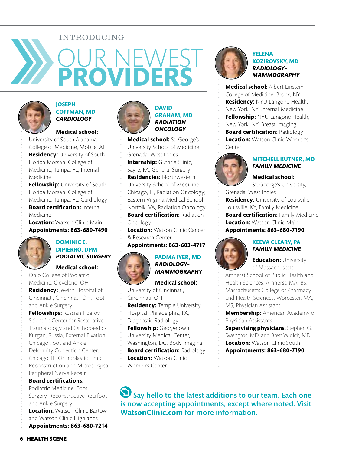#### INTRODUCING

# OUR NEWEST **PROVIDERS**



#### **JOSEPH COFFMAN, MD** *CARDIOLOGY*

#### **Medical school:**

University of South Alabama College of Medicine, Mobile, AL **Residency:** University of South Florida Morsani College of Medicine, Tampa, FL, Internal Medicine

**Fellowship:** University of South Florida Morsani College of Medicine, Tampa, FL, Cardiology **Board certification: Internal** Medicine

**Location:** Watson Clinic Main **Appointments: 863-680-7490**



#### **DOMINIC E. DIPIERRO, DPM** *PODIATRIC SURGERY*

#### **Medical school:**

Ohio College of Podiatric Medicine, Cleveland, OH **Residency:** Jewish Hospital of Cincinnati, Cincinnati, OH, Foot and Ankle Surgery **Fellowships: Russian Ilizarov** Scientific Center for Restorative Traumatology and Orthopaedics, Kurgan, Russia, External Fixation; Chicago Foot and Ankle Deformity Correction Center, Chicago, IL, Orthoplastic Limb Reconstruction and Microsurgical Peripheral Nerve Repair **Board certifications:**

Podiatric Medicine, Foot Surgery, Reconstructive Rearfoot and Ankle Surgery **Location:** Watson Clinic Bartow and Watson Clinic Highlands **Appointments: 863-680-7214**



#### **DAVID GRAHAM, MD** *RADIATION ONCOLOGY*

**Medical school:** St. George's University School of Medicine, Grenada, West Indies **Internship:** Guthrie Clinic, Sayre, PA, General Surgery **Residencies:** Northwestern University School of Medicine, Chicago, IL, Radiation Oncology; Eastern Virginia Medical School, Norfolk, VA, Radiation Oncology **Board certification:** Radiation Oncology

**Location:** Watson Clinic Cancer & Research Center

**Appointments: 863-603-4717**



#### **PADMA IYER, MD** *RADIOLOGY– MAMMOGRAPHY*

**Medical school:**  University of Cincinnati, Cincinnati, OH

**Residency:** Temple University Hospital, Philadelphia, PA, Diagnostic Radiology **Fellowship:** Georgetown University Medical Center, Washington, DC, Body Imaging **Board certification:** Radiology **Location: Watson Clinic** 

Women's Center



#### **YELENA KOZIROVSKY, MD** *RADIOLOGY– MAMMOGRAPHY*

**Medical school:** Albert Einstein College of Medicine, Bronx, NY **Residency:** NYU Langone Health, New York, NY, Internal Medicine **Fellowship:** NYU Langone Health, New York, NY, Breast Imaging **Board certification: Radiology Location:** Watson Clinic Women's **Center** 



#### **MITCHELL KUTNER, MD** *FAMILY MEDICINE*

#### **Medical school:**

St. George's University,

Grenada, West Indies **Residency:** University of Louisville, Louisville, KY, Family Medicine **Board certification: Family Medicine Location:** Watson Clinic Main **Appointments: 863-680-7190**



#### **Education:** University of Massachusetts

Amherst School of Public Health and Health Sciences, Amherst, MA, BS; Massachusetts College of Pharmacy and Health Sciences, Worcester, MA, MS, Physician Assistant

**Membership:** American Academy of Physician Assistants

**Supervising physicians:** Stephen G. Swengros, MD, and Brett Widick, MD **Location: Watson Clinic South Appointments: 863-680-7190**

 $\bigcirc$  Say hello to the latest additions to our team. Each one is now accepting appointments, except where noted. Visit **WatsonClinic.com** for more information.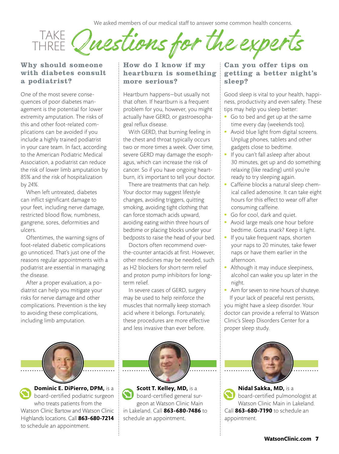We asked members of our medical staff to answer some common health concerns.

TAKE Questions for THRFF<sup>®</sup>

#### Why should someone with diabetes consult a podiatrist?

One of the most severe consequences of poor diabetes management is the potential for lower extremity amputation. The risks of this and other foot-related complications can be avoided if you include a highly trained podiatrist in your care team. In fact, according to the American Podiatric Medical Association, a podiatrist can reduce the risk of lower limb amputation by 85% and the risk of hospitalization by 24%.

When left untreated, diabetes can inflict significant damage to your feet, including nerve damage, restricted blood flow, numbness, gangrene, sores, deformities and ulcers.

Oftentimes, the warning signs of foot-related diabetic complications go unnoticed. That's just one of the reasons regular appointments with a podiatrist are essential in managing the disease.

After a proper evaluation, a podiatrist can help you mitigate your risks for nerve damage and other complications. Prevention is the key to avoiding these complications, including limb amputation.

#### How do I know if my heartburn is something more serious?

Heartburn happens—but usually not that often. If heartburn is a frequent problem for you, however, you might actually have GERD, or gastroesophageal reflux disease.

With GERD, that burning feeling in the chest and throat typically occurs two or more times a week. Over time, severe GERD may damage the esophagus, which can increase the risk of cancer. So if you have ongoing heartburn, it's important to tell your doctor.

There are treatments that can help. Your doctor may suggest lifestyle changes, avoiding triggers, quitting smoking, avoiding tight clothing that can force stomach acids upward, avoiding eating within three hours of bedtime or placing blocks under your bedposts to raise the head of your bed.

Doctors often recommend overthe-counter antacids at first. However, other medicines may be needed, such as H2 blockers for short-term relief and proton pump inhibitors for longterm relief.

In severe cases of GERD, surgery may be used to help reinforce the muscles that normally keep stomach acid where it belongs. Fortunately, these procedures are more effective and less invasive than ever before.



**Scott T. Kelley, MD,** is a board-certified general surgeon at Watson Clinic Main in Lakeland. Call **863-680-7486** to schedule an appointment.

#### Can you offer tips on getting a better night's sleep?

Good sleep is vital to your health, happiness, productivity and even safety. These tips may help you sleep better:

- Go to bed and get up at the same time every day (weekends too).
- Avoid blue light from digital screens. Unplug phones, tablets and other gadgets close to bedtime.
- If you can't fall asleep after about 30 minutes, get up and do something relaxing (like reading) until you're ready to try sleeping again.
- Caffeine blocks a natural sleep chemical called adenosine. It can take eight hours for this effect to wear off after consuming caffeine.
- Go for cool, dark and quiet.
- Avoid large meals one hour before bedtime. Gotta snack? Keep it light.
- If you take frequent naps, shorten your naps to 20 minutes, take fewer naps or have them earlier in the afternoon.
- Although it may induce sleepiness, alcohol can wake you up later in the night.
- Aim for seven to nine hours of shuteye. If your lack of peaceful rest persists, you might have a sleep disorder. Your doctor can provide a referral to Watson Clinic's Sleep Disorders Center for a proper sleep study.



**Nidal Sakka, MD,** is a board-certified pulmonologist at Watson Clinic Main in Lakeland. Call **863-680-7190** to schedule an appointment.



**Dominic E. DiPierro, DPM,** is a board-certified podiatric surgeon who treats patients from the Watson Clinic Bartow and Watson Clinic Highlands locations. Call **863-680-7214** to schedule an appointment.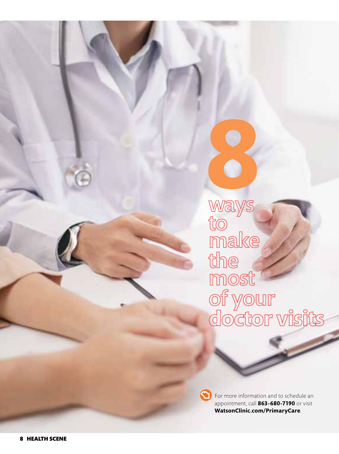ways to make make<br>the<br>most<br>of your<br>doctor visits **8**<br>Marys

For more information and to schedule an appointment, call **863-680-7190** or visit **WatsonClinic.com/PrimaryCare** .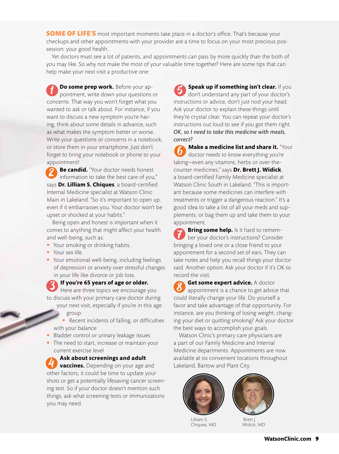**SOME OF LIFE'S** most important moments take place in a doctor's office. That's because your checkups and other appointments with your provider are a time to focus on your most precious possession: your good health.

Yet doctors must see a lot of patients, and appointments can pass by more quickly than the both of you may like. So why not make the most of your valuable time together? Here are some tips that can help make your next visit a productive one:

 $\overline{\mathbf{1}}$ **Do some prep work.** Before your appointment, write down your questions or concerns. That way you won't forget what you wanted to ask or talk about. For instance, if you want to discuss a new symptom you're having, think about some details in advance, such as what makes the symptom better or worse. Write your questions or concerns in a notebook, or store them in your smartphone. Just don't forget to bring your notebook or phone to your appointment!

2 **Be candid.** "Your doctor needs honest information to take the best care of you," says **Dr. Lilliam S. Chiques**, a board-certified Internal Medicine specialist at Watson Clinic Main in Lakeland. "So it's important to open up, even if it embarrasses you. Your doctor won't be upset or shocked at your habits."

Being open and honest is important when it comes to anything that might affect your health and well-being, such as:

- Your smoking or drinking habits.
- Your sex life.
- Your emotional well-being, including feelings of depression or anxiety over stressful changes in your life like divorce or job loss.

3 **If you're 65 years of age or older.**  Here are three topics we encourage you

- to discuss with your primary care doctor during your next visit, especially if you're in this age group:
	- Recent incidents of falling, or difficulties with your balance
- Bladder control or urinary leakage issues
- The need to start, increase or maintain your current exercise level

**Ask about screenings and adult vaccines.** Depending on your age and other factors, it could be time to update your shots or get a potentially lifesaving cancer screening test. So if your doctor doesn't mention such things, ask what screening tests or immunizations you may need.

**Speak up if something isn't clear.** If you don't understand any part of your doctor's instructions or advice, don't just nod your head. Ask your doctor to explain these things until they're crystal clear. You can repeat your doctor's instructions out loud to see if you got them right. *OK, so I need to take this medicine with meals, correct?* 5

**Make a medicine list and share it.** "Your doctor needs to know everything you're taking—even any vitamins, herbs or over-thecounter medicines," says **Dr. Brett J. Widick**, a board-certified Family Medicine specialist at Watson Clinic South in Lakeland. "This is important because some medicines can interfere with treatments or trigger a dangerous reaction." It's a good idea to take a list of all your meds and supplements, or bag them up and take them to your appointment. 6

**Bring some help.** Is it hard to remember your doctor's instructions? Consider bringing a loved one or a close friend to your appointment for a second set of ears. They can take notes and help you recall things your doctor said. Another option: Ask your doctor if it's OK to record the visit. **7** 

**Get some expert advice.** A doctor appointment is a chance to get advice that could literally change your life. Do yourself a favor and take advantage of that opportunity. For instance, are you thinking of losing weight, changing your diet or quitting smoking? Ask your doctor the best ways to accomplish your goals.  $\delta$ 

Watson Clinic's primary care physicians are a part of our Family Medicine and Internal Medicine departments. Appointments are now available at six convenient locations throughout<br>Lakeland, Bartow and Plant City.





Lilliam S. Chiques, MD

 Brett J. Widick, MD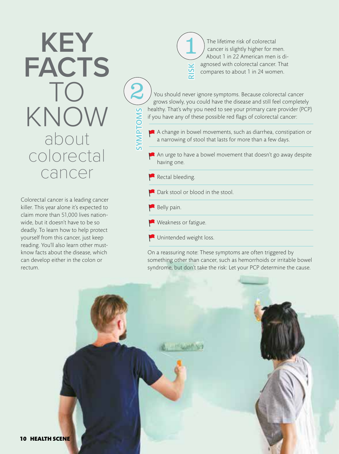# **KEY FACTS**  $\prod$ KNOW about colorectal cancer

Colorectal cancer is a leading cancer killer. This year alone it's expected to claim more than 51,000 lives nationwide, but it doesn't have to be so deadly. To learn how to help protect yourself from this cancer, just keep reading. You'll also learn other mustknow facts about the disease, which can develop either in the colon or rectum.

The lifetime risk of colorectal cancer is slightly higher for men. About 1 in 22 American men is diagnosed with colorectal cancer. That compares to about 1 in 24 women. RISK  $\left| \begin{matrix} 1 \end{matrix} \right|$ 

You should never ignore symptoms. Because colorectal cancer grows slowly, you could have the disease and still feel completely healthy. That's why you need to see your primary care provider (PCP) if you have any of these possible red flags of colorectal cancer:

A change in bowel movements, such as diarrhea, constipation or a narrowing of stool that lasts for more than a few days.

An urge to have a bowel movement that doesn't go away despite having one.

 $R$ ectal bleeding.

Dark stool or blood in the stool.

Belly pain.

SYMPTOMS

**SINDLIANS** 

2

Weakness or fatigue.

Unintended weight loss.

On a reassuring note: These symptoms are often triggered by something other than cancer, such as hemorrhoids or irritable bowel syndrome, but don't take the risk: Let your PCP determine the cause.

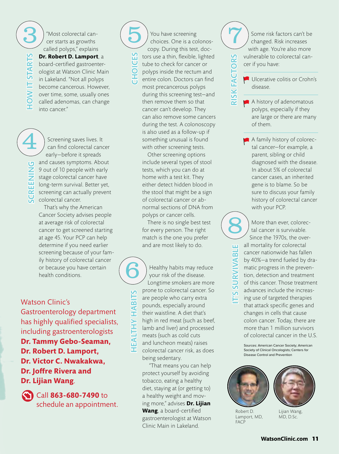**OW IT STARTS** HOW IT STARTS

"Most colorectal cancer starts as growths called polyps," explains

**Dr. Robert D. Lamport**, a board-certified gastroenterologist at Watson Clinic Main in Lakeland. "Not all polyps become cancerous. However, over time, some, usually ones called adenomas, can change into cancer."

SCREENING  $\widehat{4}$ 

Screening saves lives. It can find colorectal cancer early—before it spreads and causes symptoms. About 9 out of 10 people with early stage colorectal cancer have long-term survival. Better yet, screening can actually prevent colorectal cancer. That's why the American

Cancer Society advises people at average risk of colorectal cancer to get screened starting at age 45. Your PCP can help determine if you need earlier screening because of your family history of colorectal cancer or because you have certain health conditions.

#### Watson Clinic's

Gastroenterology department has highly qualified specialists, including gastroenterologists **Dr. Tammy Gebo-Seaman, Dr. Robert D. Lamport, Dr. Victor C. Nwakakwa, Dr. Joffre Rivera and Dr. Lijian Wang**.



Call **863-680-7490** to schedule an appointment.

You have screening You have screening<br>Choices. One is a colonoscopy. During this test, doctors use a thin, flexible, lighted tube to check for cancer or polyps inside the rectum and entire colon. Doctors can find most precancerous polyps during this screening test—and then remove them so that cancer can't develop. They can also remove some cancers during the test. A colonoscopy is also used as a follow-up if something unusual is found with other screening tests.

**CHOICES** 

 $\overline{\mathbf{C}}$ 

Other screening options include several types of stool tests, which you can do at home with a test kit. They either detect hidden blood in the stool that might be a sign of colorectal cancer or abnormal sections of DNA from polyps or cancer cells.

There is no single best test for every person. The right match is the one you prefer and are most likely to do.

Healthy habits may reduce your risk of the disease. Longtime smokers are more prone to colorectal cancer. So are people who carry extra pounds, especially around their waistline. A diet that's high in red meat (such as beef, lamb and liver) and processed meats (such as cold cuts and luncheon meats) raises colorectal cancer risk, as does being sedentary.

HEALTHY HABITS

**HEALTHY** 

HABI

6

"That means you can help protect yourself by avoiding tobacco, eating a healthy diet, staying at (or getting to) a healthy weight and moving more," advises **Dr. Lijian Wang**, a board-certified gastroenterologist at Watson Clinic Main in Lakeland.

Some risk factors can't be changed. Risk increases with age. You're also more vulnerable to colorectal cancer if you have:

**Ulcerative colitis or Crohn's** disease.

RISK FACTORS

**SK FACT** 

፼

**SS** 

 $\overline{\mathsf{o}}$ 

A history of adenomatous polyps, especially if they are large or there are many of them.

A family history of colorectal cancer—for example, a parent, sibling or child diagnosed with the disease. In about 5% of colorectal cancer cases, an inherited gene is to blame. So be sure to discuss your family history of colorectal cancer with your PCP.

More than ever, colorectal cancer is survivable. Since the 1970s, the overall mortality for colorectal cancer nationwide has fallen by 40%—a trend fueled by dramatic progress in the prevention, detection and treatment of this cancer. Those treatment advances include the increasing use of targeted therapies that attack specific genes and changes in cells that cause colon cancer. Today, there are more than 1 million survivors of colorectal cancer in the U.S.

Sources: American Cancer Society; American Society of Clinical Oncologists; Centers for Disease Control and Prevention



**FACP** 

IT'S SURVIVABLE

8

ш 긇 IVAI **IMS** US

> Robert D. Lamport, MD,

Lijian Wang, MD, D.Sc.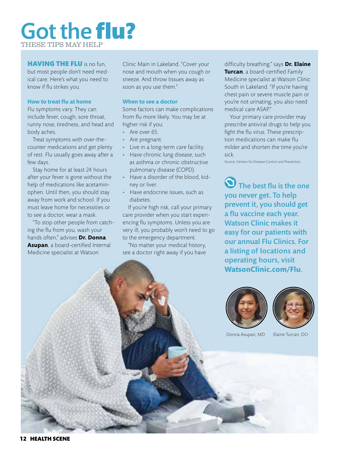### Got the flu? THESE TIPS MAY HEL

#### **HAVING THE FLU** is no fun,

but most people don't need medical care. Here's what you need to know if flu strikes you.

#### **How to treat flu at home**

Flu symptoms vary. They can include fever, cough, sore throat, runny nose, tiredness, and head and body aches.

Treat symptoms with over-thecounter medications and get plenty of rest. Flu usually goes away after a few days.

Stay home for at least 24 hours after your fever is gone without the help of medications like acetaminophen. Until then, you should stay away from work and school. If you must leave home for necessities or to see a doctor, wear a mask.

"To stop other people from catching the flu from you, wash your hands often," advises **Dr. Donna Asupan**, a board-certified Internal Medicine specialist at Watson

Clinic Main in Lakeland. "Cover your nose and mouth when you cough or sneeze. And throw tissues away as soon as you use them."

#### **When to see a doctor**

Some factors can make complications from flu more likely. You may be at higher risk if you:

- Are over 65.
- Are pregnant.
- Live in a long-term care facility.
- Have chronic lung disease, such as asthma or chronic obstructive pulmonary disease (COPD).
- Have a disorder of the blood, kidney or liver.
- Have endocrine issues, such as diabetes.

If you're high risk, call your primary care provider when you start experiencing flu symptoms. Unless you are very ill, you probably won't need to go to the emergency department.

"No matter your medical history, see a doctor right away if you have

difficulty breathing," says **Dr. Elaine Turcan**, a board-certified Family Medicine specialist at Watson Clinic South in Lakeland. "If you're having chest pain or severe muscle pain or you're not urinating, you also need medical care ASAP."

Your primary care provider may prescribe antiviral drugs to help you fight the flu virus. These prescription medications can make flu milder and shorten the time you're sick.

Source: Centers for Disease Control and Prevention

The best flu is the one you never get. To help prevent it, you should get a flu vaccine each year. Watson Clinic makes it easy for our patients with our annual Flu Clinics. For a listing of locations and operating hours, visit **WatsonClinic.com/Flu**.





Donna Asupan, MD Elaine Turcan, DO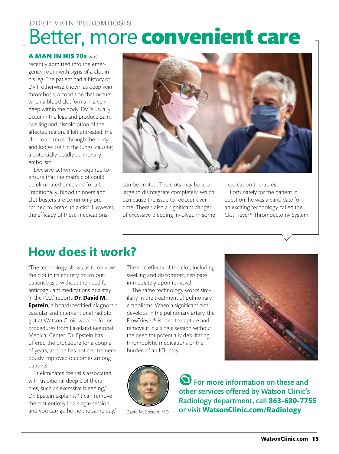### Better, more convenient care DEEP VEIN THROMBOSIS

#### A MAN IN HIS 70s was

recently admitted into the emergency room with signs of a clot in his leg. The patient had a history of DVT, otherwise known as deep vein thrombosis, a condition that occurs when a blood clot forms in a vein deep within the body. DVTs usually occur in the legs and produce pain, swelling and discoloration of the affected region. If left untreated, the clot could travel through the body and lodge itself in the lungs, causing a potentially deadly pulmonary embolism.

Decisive action was required to ensure that the man's clot could be eliminated once and for all. Traditionally, blood thinners and clot busters are commonly prescribed to break up a clot. However, the efficacy of these medications



can be limited. The clots may be too large to disintegrate completely, which can cause the issue to reoccur over time. There's also a significant danger of excessive bleeding involved in some medication therapies.

Fortunately for the patient in question, he was a candidate for an exciting technology called the ClotTriever® Thrombectomy System.

### **How does it work?**

"The technology allows us to remove the clot in its entirety on an outpatient basis, without the need for anticoagulant medications or a stay in the ICU," reports **Dr. David M. Epstein**, a board-certified diagnostic, vascular and interventional radiologist at Watson Clinic who performs procedures from Lakeland Regional Medical Center. Dr. Epstein has offered the procedure for a couple of years, and he has noticed tremendously improved outcomes among patients.

"It eliminates the risks associated with traditional deep clot therapies, such as excessive bleeding," Dr. Epstein explains. "It can remove the clot entirely in a single session, and you can go home the same day." The side effects of the clot, including swelling and discomfort, dissipate immediately upon removal.

The same technology works similarly in the treatment of pulmonary embolisms. When a significant clot develops in the pulmonary artery, the FlowTriever® is used to capture and remove it in a single session without the need for potentially debilitating thrombolytic medications or the burden of an ICU stay.





David M. Epstein, MD

**S** For more information on these and other services offered by Watson Clinic's Radiology department, call **863-680-7755** or visit **WatsonClinic.com/Radiology**.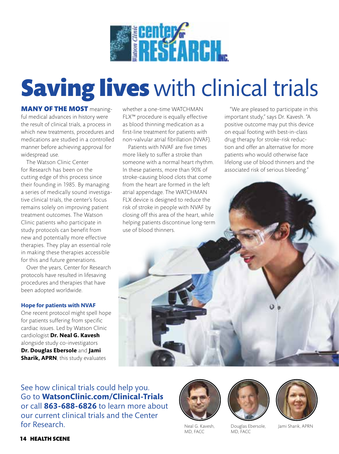

# **Saving lives** with clinical trials

**MANY OF THE MOST meaning**ful medical advances in history were the result of clinical trials, a process in which new treatments, procedures and medications are studied in a controlled manner before achieving approval for widespread use.

The Watson Clinic Center for Research has been on the cutting edge of this process since their founding in 1985. By managing a series of medically sound investigative clinical trials, the center's focus remains solely on improving patient treatment outcomes. The Watson Clinic patients who participate in study protocols can benefit from new and potentially more effective therapies. They play an essential role in making these therapies accessible for this and future generations.

Over the years, Center for Research protocols have resulted in lifesaving procedures and therapies that have been adopted worldwide.

#### **Hope for patients with NVAF**

One recent protocol might spell hope for patients suffering from specific cardiac issues. Led by Watson Clinic cardiologist **Dr. Neal G. Kavesh** alongside study co-investigators **Dr. Douglas Ebersole** and **Jami Sharik, APRN**, this study evaluates

whether a one-time WATCHMAN FLX™ procedure is equally effective as blood thinning medication as a first-line treatment for patients with non-valvular atrial fibrillation (NVAF).

Patients with NVAF are five times more likely to suffer a stroke than someone with a normal heart rhythm. In these patients, more than 90% of stroke-causing blood clots that come from the heart are formed in the left atrial appendage. The WATCHMAN FLX device is designed to reduce the risk of stroke in people with NVAF by closing off this area of the heart, while helping patients discontinue long-term use of blood thinners.

"We are pleased to participate in this important study," says Dr. Kavesh. "A positive outcome may put this device on equal footing with best-in-class drug therapy for stroke-risk reduction and offer an alternative for more patients who would otherwise face lifelong use of blood thinners and the associated risk of serious bleeding."

See how clinical trials could help you. Go to **WatsonClinic.com/Clinical-Trials** or call **863-688-6826** to learn more about our current clinical trials and the Center for Research.





Douglas Ebersole, MD, FACC



Jami Sharik, APRN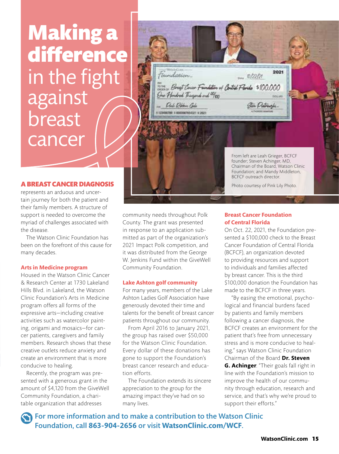# Making a difference in the fight against breast **cancer**

#### A BREAST CANCER DIAGNOSIS

represents an arduous and uncertain journey for both the patient and their family members. A structure of support is needed to overcome the myriad of challenges associated with the disease.

The Watson Clinic Foundation has been on the forefront of this cause for many decades.

#### **Arts in Medicine program**

Housed in the Watson Clinic Cancer & Research Center at 1730 Lakeland Hills Blvd. in Lakeland, the Watson Clinic Foundation's Arts in Medicine program offers all forms of the expressive arts—including creative activities such as watercolor painting, origami and mosaics—for cancer patients, caregivers and family members. Research shows that these creative outlets reduce anxiety and create an environment that is more conducive to healing.

Recently, the program was presented with a generous grant in the amount of \$4,120 from the GiveWell Community Foundation, a charitable organization that addresses

community needs throughout Polk County. The grant was presented in response to an application submitted as part of the organization's 2021 Impact Polk competition, and it was distributed from the George W. Jenkins Fund within the GiveWell Community Foundation.

**Col.** 

Foundation

One Hondred Tragend and W20

Och Obbry Cole 123456789 E 0000947654321 E 2021

#### **Lake Ashton golf community**

For many years, members of the Lake Ashton Ladies Golf Association have generously devoted their time and talents for the benefit of breast cancer patients throughout our community.

From April 2016 to January 2021, the group has raised over \$50,000 for the Watson Clinic Foundation. Every dollar of these donations has gone to support the Foundation's breast cancer research and education efforts.

The Foundation extends its sincere appreciation to the group for the amazing impact they've had on so many lives.

#### **Breast Cancer Foundation of Central Florida**

BCFCF outreach director.

am totala

One Bright Center Familian of Control Florido \$100,000

From left are Leah Grieger, BCFCF founder; Steven Achinger, MD, Chairman of the Board, Watson Clinic Foundation; and Mandy Middleton,

Ster Detranski

2021

Photo courtesy of Pink Lily Photo.

On Oct. 22, 2021, the Foundation presented a \$100,000 check to the Breast Cancer Foundation of Central Florida (BCFCF), an organization devoted to providing resources and support to individuals and families affected by breast cancer. This is the third \$100,000 donation the Foundation has made to the BCFCF in three years.

 "By easing the emotional, psychological and financial burdens faced by patients and family members following a cancer diagnosis, the BCFCF creates an environment for the patient that's free from unnecessary stress and is more conducive to healing," says Watson Clinic Foundation Chairman of the Board **Dr. Steven G. Achinger**. "Their goals fall right in line with the Foundation's mission to improve the health of our community through education, research and service, and that's why we're proud to support their efforts."

For more information and to make a contribution to the Watson Clinic Foundation, call **863-904-2656** or visit **WatsonClinic.com/WCF**.